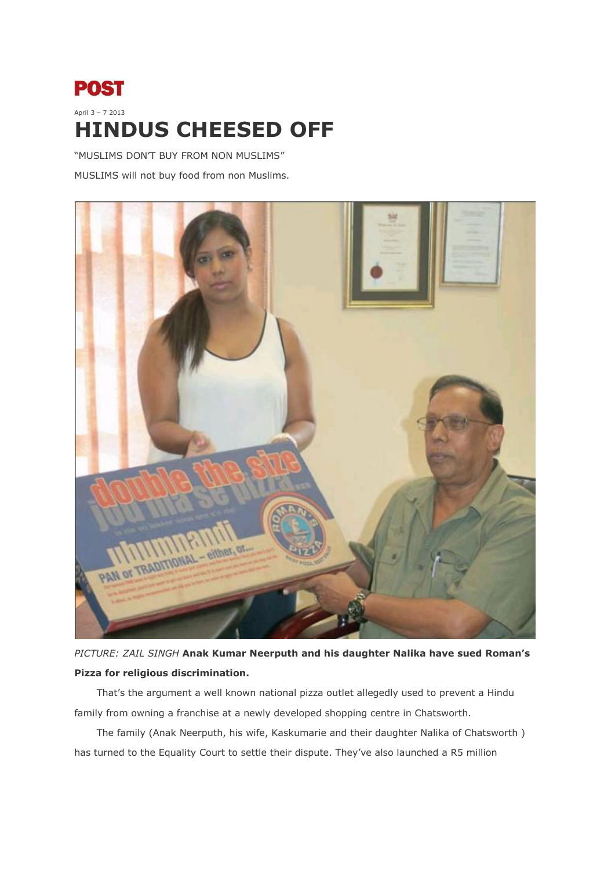## **POST** April 3 – 7 2013 **HINDUS CHEESED OFF**

"MUSLIMS DON'T BUY FROM NON MUSLIMS" MUSLIMS will not buy food from non Muslims.



*PICTURE: ZAIL SINGH* **Anak Kumar Neerputh and his daughter Nalika have sued Roman's Pizza for religious discrimination.**

That's the argument a well known national pizza outlet allegedly used to prevent a Hindu family from owning a franchise at a newly developed shopping centre in Chatsworth.

The family (Anak Neerputh, his wife, Kaskumarie and their daughter Nalika of Chatsworth ) has turned to the Equality Court to settle their dispute. They've also launched a R5 million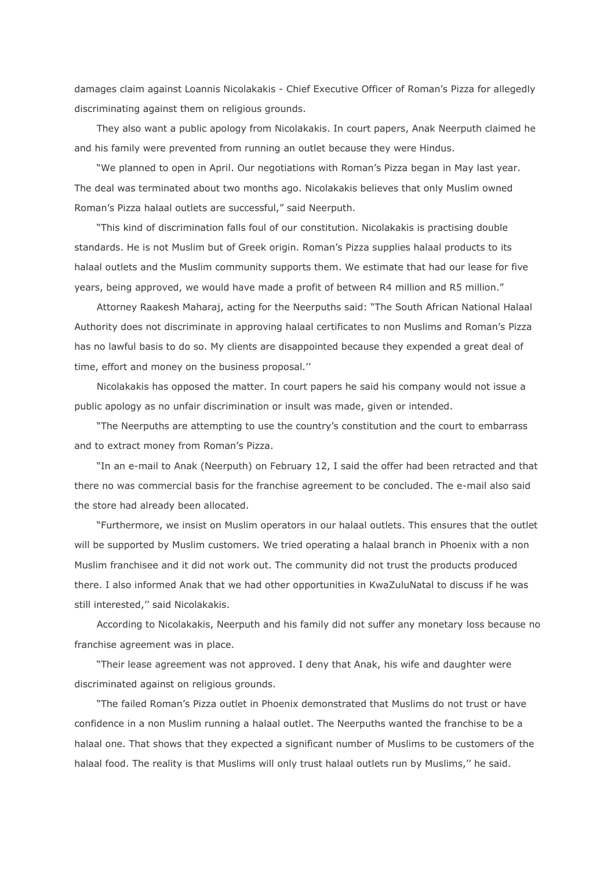damages claim against Loannis Nicolakakis - Chief Executive Officer of Roman's Pizza for allegedly discriminating against them on religious grounds.

They also want a public apology from Nicolakakis. In court papers, Anak Neerputh claimed he and his family were prevented from running an outlet because they were Hindus.

"We planned to open in April. Our negotiations with Roman's Pizza began in May last year. The deal was terminated about two months ago. Nicolakakis believes that only Muslim owned Roman's Pizza halaal outlets are successful," said Neerputh.

"This kind of discrimination falls foul of our constitution. Nicolakakis is practising double standards. He is not Muslim but of Greek origin. Roman's Pizza supplies halaal products to its halaal outlets and the Muslim community supports them. We estimate that had our lease for five years, being approved, we would have made a profit of between R4 million and R5 million."

Attorney Raakesh Maharaj, acting for the Neerpuths said: "The South African National Halaal Authority does not discriminate in approving halaal certificates to non Muslims and Roman's Pizza has no lawful basis to do so. My clients are disappointed because they expended a great deal of time, effort and money on the business proposal.''

Nicolakakis has opposed the matter. In court papers he said his company would not issue a public apology as no unfair discrimination or insult was made, given or intended.

"The Neerpuths are attempting to use the country's constitution and the court to embarrass and to extract money from Roman's Pizza.

"In an e-mail to Anak (Neerputh) on February 12, I said the offer had been retracted and that there no was commercial basis for the franchise agreement to be concluded. The e-mail also said the store had already been allocated.

"Furthermore, we insist on Muslim operators in our halaal outlets. This ensures that the outlet will be supported by Muslim customers. We tried operating a halaal branch in Phoenix with a non Muslim franchisee and it did not work out. The community did not trust the products produced there. I also informed Anak that we had other opportunities in KwaZuluNatal to discuss if he was still interested,'' said Nicolakakis.

According to Nicolakakis, Neerputh and his family did not suffer any monetary loss because no franchise agreement was in place.

"Their lease agreement was not approved. I deny that Anak, his wife and daughter were discriminated against on religious grounds.

"The failed Roman's Pizza outlet in Phoenix demonstrated that Muslims do not trust or have confidence in a non Muslim running a halaal outlet. The Neerpuths wanted the franchise to be a halaal one. That shows that they expected a significant number of Muslims to be customers of the halaal food. The reality is that Muslims will only trust halaal outlets run by Muslims,'' he said.